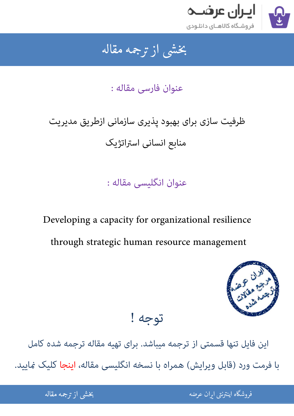

### جمه مقاله شی از تر بخشی از :

عنوان فارسی مقاله :

# ظرفیت سازی برای بهبود پذیری سازمانی ازطریق مدیریت

منابع انسانی استراتژیک

عنوان انگلیسی مقاله :

Developing a capacity for organizational resilience through strategic human resource management



## توجه !

[این فایل تنها قسمتی از ترجمه میباشد. برای تهیه مقاله ترجمه شده کامل](http://iranarze.ir/capacity+organizational+strategic+human+resource+management)  با فرمت ورد (قابل ویرایش) همراه با نسخه انگلیسی مقاله، اینجا کلیک مَایید.

> ֦֘ ه اينترنتي ايران عرضه مستخدم استخدام استخدام المستخدم المستخدم المستخدم المستخدم المستخدم المستخدم المستخدم ال ֧֚֚֚֚֚֚֚֚֚֚֚֚֚֚֚֚֚֚֚֚֚֚֚֬֡֡֡֡֡֡֓֡֡֡֡֬֝֝֓֡֡֬֓֓֡֬

شی از ترجمه <mark>مقا</mark>له